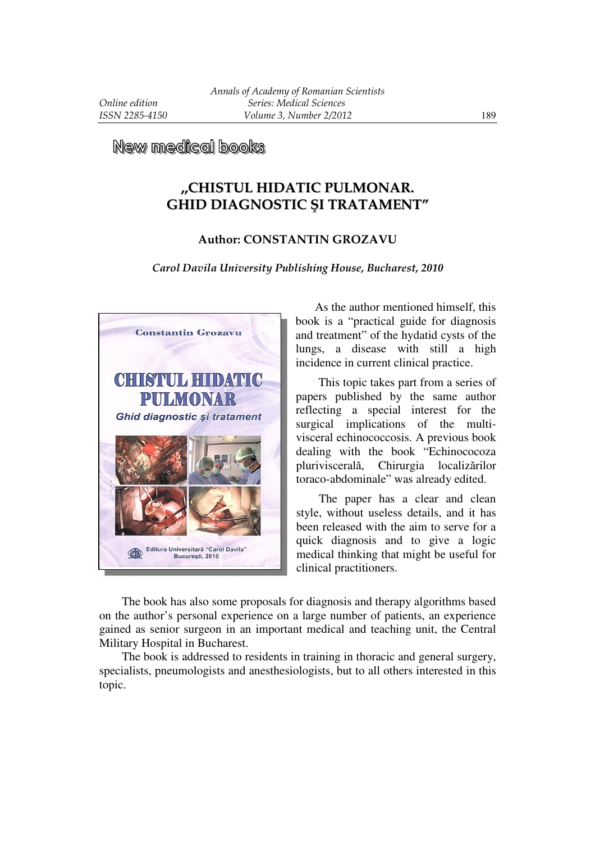**New medical books** 

## **,,CHISTUL HIDATIC PULMONAR. GHID DIAGNOSTIC ŞI TRATAMENT"**

## **Author: CONSTANTIN GROZAVU**

*Carol Davila University Publishing House, Bucharest, 2010* 



As the author mentioned himself, this book is a "practical guide for diagnosis and treatment" of the hydatid cysts of the lungs, a disease with still a high incidence in current clinical practice.

This topic takes part from a series of papers published by the same author reflecting a special interest for the surgical implications of the multivisceral echinococcosis. A previous book dealing with the book "Echinococoza pluriviscerală, Chirurgia localizărilor toraco-abdominale" was already edited.

The paper has a clear and clean style, without useless details, and it has been released with the aim to serve for a quick diagnosis and to give a logic medical thinking that might be useful for clinical practitioners.

The book has also some proposals for diagnosis and therapy algorithms based on the author's personal experience on a large number of patients, an experience gained as senior surgeon in an important medical and teaching unit, the Central Military Hospital in Bucharest.

The book is addressed to residents in training in thoracic and general surgery, specialists, pneumologists and anesthesiologists, but to all others interested in this topic.